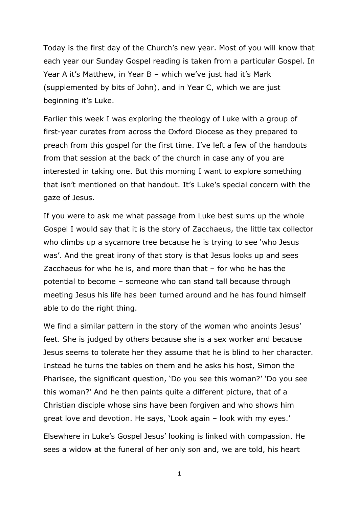Today is the first day of the Church's new year. Most of you will know that each year our Sunday Gospel reading is taken from a particular Gospel. In Year A it's Matthew, in Year B – which we've just had it's Mark (supplemented by bits of John), and in Year C, which we are just beginning it's Luke.

Earlier this week I was exploring the theology of Luke with a group of first-year curates from across the Oxford Diocese as they prepared to preach from this gospel for the first time. I've left a few of the handouts from that session at the back of the church in case any of you are interested in taking one. But this morning I want to explore something that isn't mentioned on that handout. It's Luke's special concern with the gaze of Jesus.

If you were to ask me what passage from Luke best sums up the whole Gospel I would say that it is the story of Zacchaeus, the little tax collector who climbs up a sycamore tree because he is trying to see 'who Jesus was'. And the great irony of that story is that Jesus looks up and sees Zacchaeus for who he is, and more than that – for who he has the potential to become – someone who can stand tall because through meeting Jesus his life has been turned around and he has found himself able to do the right thing.

We find a similar pattern in the story of the woman who anoints Jesus' feet. She is judged by others because she is a sex worker and because Jesus seems to tolerate her they assume that he is blind to her character. Instead he turns the tables on them and he asks his host, Simon the Pharisee, the significant question, 'Do you see this woman?' 'Do you see this woman?' And he then paints quite a different picture, that of a Christian disciple whose sins have been forgiven and who shows him great love and devotion. He says, 'Look again – look with my eyes.'

Elsewhere in Luke's Gospel Jesus' looking is linked with compassion. He sees a widow at the funeral of her only son and, we are told, his heart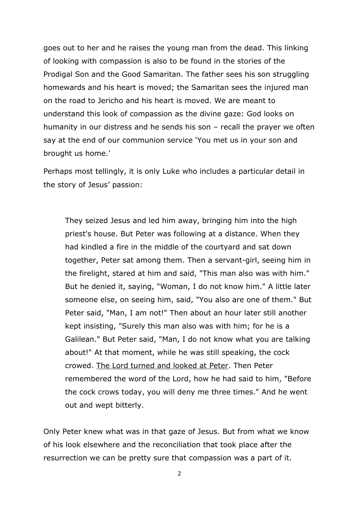goes out to her and he raises the young man from the dead. This linking of looking with compassion is also to be found in the stories of the Prodigal Son and the Good Samaritan. The father sees his son struggling homewards and his heart is moved; the Samaritan sees the injured man on the road to Jericho and his heart is moved. We are meant to understand this look of compassion as the divine gaze: God looks on humanity in our distress and he sends his son – recall the prayer we often say at the end of our communion service 'You met us in your son and brought us home.'

Perhaps most tellingly, it is only Luke who includes a particular detail in the story of Jesus' passion:

They seized Jesus and led him away, bringing him into the high priest's house. But Peter was following at a distance. When they had kindled a fire in the middle of the courtyard and sat down together, Peter sat among them. Then a servant-girl, seeing him in the firelight, stared at him and said, "This man also was with him." But he denied it, saying, "Woman, I do not know him." A little later someone else, on seeing him, said, "You also are one of them." But Peter said, "Man, I am not!" Then about an hour later still another kept insisting, "Surely this man also was with him; for he is a Galilean." But Peter said, "Man, I do not know what you are talking about!" At that moment, while he was still speaking, the cock crowed. The Lord turned and looked at Peter. Then Peter remembered the word of the Lord, how he had said to him, "Before the cock crows today, you will deny me three times." And he went out and wept bitterly.

Only Peter knew what was in that gaze of Jesus. But from what we know of his look elsewhere and the reconciliation that took place after the resurrection we can be pretty sure that compassion was a part of it.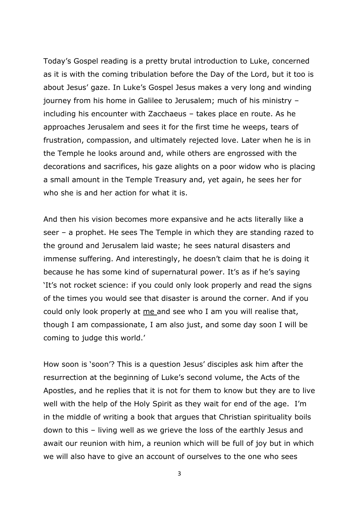Today's Gospel reading is a pretty brutal introduction to Luke, concerned as it is with the coming tribulation before the Day of the Lord, but it too is about Jesus' gaze. In Luke's Gospel Jesus makes a very long and winding journey from his home in Galilee to Jerusalem; much of his ministry – including his encounter with Zacchaeus – takes place en route. As he approaches Jerusalem and sees it for the first time he weeps, tears of frustration, compassion, and ultimately rejected love. Later when he is in the Temple he looks around and, while others are engrossed with the decorations and sacrifices, his gaze alights on a poor widow who is placing a small amount in the Temple Treasury and, yet again, he sees her for who she is and her action for what it is.

And then his vision becomes more expansive and he acts literally like a seer – a prophet. He sees The Temple in which they are standing razed to the ground and Jerusalem laid waste; he sees natural disasters and immense suffering. And interestingly, he doesn't claim that he is doing it because he has some kind of supernatural power. It's as if he's saying 'It's not rocket science: if you could only look properly and read the signs of the times you would see that disaster is around the corner. And if you could only look properly at me and see who I am you will realise that, though I am compassionate, I am also just, and some day soon I will be coming to judge this world.'

How soon is 'soon'? This is a question Jesus' disciples ask him after the resurrection at the beginning of Luke's second volume, the Acts of the Apostles, and he replies that it is not for them to know but they are to live well with the help of the Holy Spirit as they wait for end of the age. I'm in the middle of writing a book that argues that Christian spirituality boils down to this – living well as we grieve the loss of the earthly Jesus and await our reunion with him, a reunion which will be full of joy but in which we will also have to give an account of ourselves to the one who sees